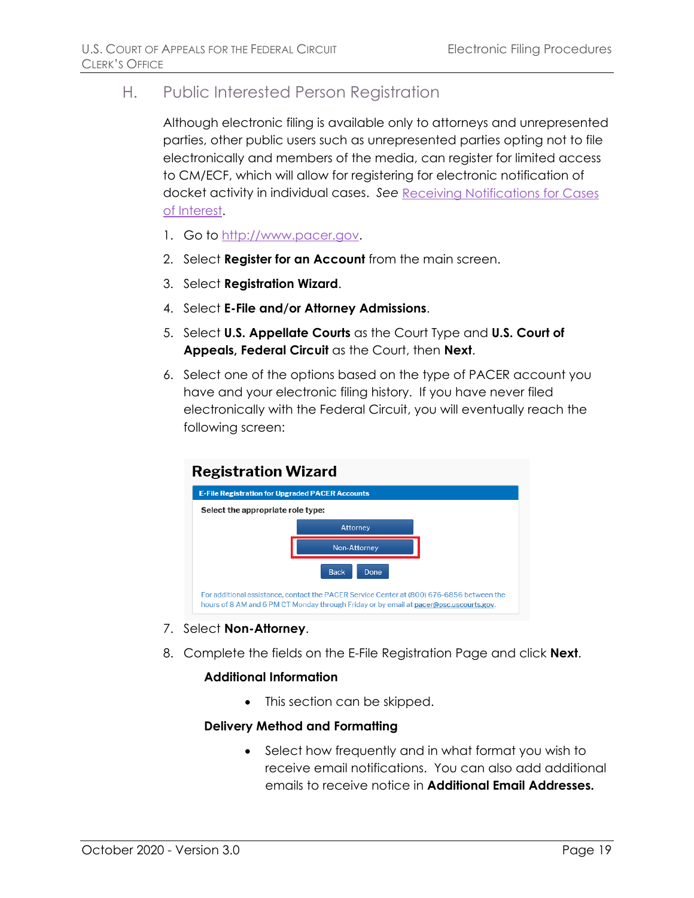## H. Public Interested Person Registration

Although electronic filing is available only to attorneys and unrepresented parties, other public users such as unrepresented parties opting not to file electronically and members of the media, can register for limited access to CM/ECF, which will allow for registering for electronic notification of docket activity in individual cases. *See* Receiving Notifications for Cases of Interest.

- 1. Go to [http://www.pacer.gov.](http://www.pacer.gov/)
- 2. Select **Register for an Account** from the main screen.
- 3. Select **Registration Wizard**.
- 4. Select **E-File and/or Attorney Admissions**.
- 5. Select **U.S. Appellate Courts** as the Court Type and **U.S. Court of Appeals, Federal Circuit** as the Court, then **Next**.
- 6. Select one of the options based on the type of PACER account you have and your electronic filing history. If you have never filed electronically with the Federal Circuit, you will eventually reach the following screen:



- 7. Select **Non-Attorney**.
- 8. Complete the fields on the E-File Registration Page and click **Next**.

## **Additional Information**

• This section can be skipped.

## **Delivery Method and Formatting**

Select how frequently and in what format you wish to receive email notifications. You can also add additional emails to receive notice in **Additional Email Addresses.**